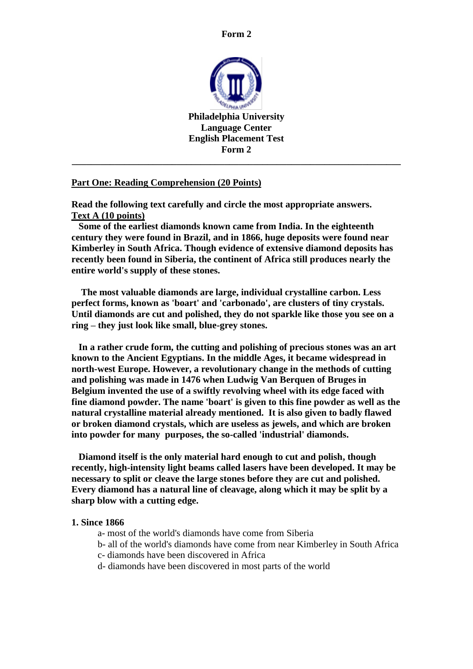

#### **Part One: Reading Comprehension (20 Points)**

**Read the following text carefully and circle the most appropriate answers. Text A (10 points)** 

 **Some of the earliest diamonds known came from India. In the eighteenth century they were found in Brazil, and in 1866, huge deposits were found near Kimberley in South Africa. Though evidence of extensive diamond deposits has recently been found in Siberia, the continent of Africa still produces nearly the entire world's supply of these stones.**

 **The most valuable diamonds are large, individual crystalline carbon. Less perfect forms, known as 'boart' and 'carbonado', are clusters of tiny crystals. Until diamonds are cut and polished, they do not sparkle like those you see on a ring – they just look like small, blue-grey stones.** 

 **In a rather crude form, the cutting and polishing of precious stones was an art known to the Ancient Egyptians. In the middle Ages, it became widespread in north-west Europe. However, a revolutionary change in the methods of cutting and polishing was made in 1476 when Ludwig Van Berquen of Bruges in Belgium invented the use of a swiftly revolving wheel with its edge faced with fine diamond powder. The name 'boart' is given to this fine powder as well as the natural crystalline material already mentioned. It is also given to badly flawed or broken diamond crystals, which are useless as jewels, and which are broken into powder for many purposes, the so-called 'industrial' diamonds.** 

 **Diamond itself is the only material hard enough to cut and polish, though recently, high-intensity light beams called lasers have been developed. It may be necessary to split or cleave the large stones before they are cut and polished. Every diamond has a natural line of cleavage, along which it may be split by a sharp blow with a cutting edge.**

#### **1. Since 1866**

- a- most of the world's diamonds have come from Siberia
- b- all of the world's diamonds have come from near Kimberley in South Africa
- c- diamonds have been discovered in Africa
- d- diamonds have been discovered in most parts of the world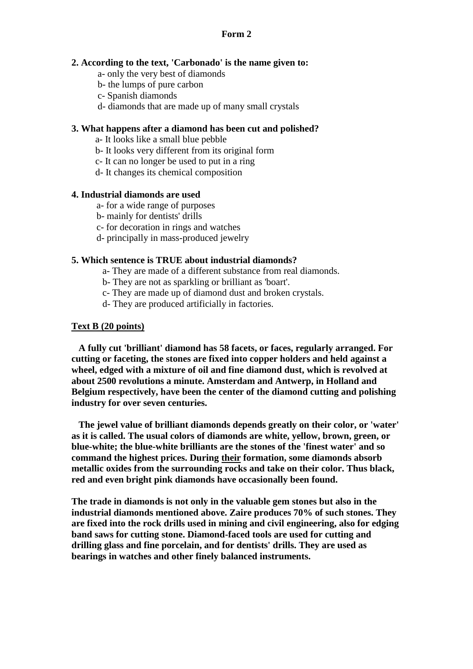#### **2. According to the text, 'Carbonado' is the name given to:**

- a- only the very best of diamonds
- b- the lumps of pure carbon
- c- Spanish diamonds
- d- diamonds that are made up of many small crystals

### **3. What happens after a diamond has been cut and polished?**

- a- It looks like a small blue pebble
- b- It looks very different from its original form
- c- It can no longer be used to put in a ring
- d- It changes its chemical composition

#### **4. Industrial diamonds are used**

- a- for a wide range of purposes
- b- mainly for dentists' drills
- c- for decoration in rings and watches
- d- principally in mass-produced jewelry

#### **5. Which sentence is TRUE about industrial diamonds?**

- a- They are made of a different substance from real diamonds.
- b- They are not as sparkling or brilliant as 'boart'.
- c- They are made up of diamond dust and broken crystals.
- d- They are produced artificially in factories.

#### **Text B (20 points)**

 **A fully cut 'brilliant' diamond has 58 facets, or faces, regularly arranged. For cutting or faceting, the stones are fixed into copper holders and held against a wheel, edged with a mixture of oil and fine diamond dust, which is revolved at about 2500 revolutions a minute. Amsterdam and Antwerp, in Holland and Belgium respectively, have been the center of the diamond cutting and polishing industry for over seven centuries.**

 **The jewel value of brilliant diamonds depends greatly on their color, or 'water' as it is called. The usual colors of diamonds are white, yellow, brown, green, or blue-white; the blue-white brilliants are the stones of the 'finest water' and so command the highest prices. During their formation, some diamonds absorb metallic oxides from the surrounding rocks and take on their color. Thus black, red and even bright pink diamonds have occasionally been found.**

**The trade in diamonds is not only in the valuable gem stones but also in the industrial diamonds mentioned above. Zaire produces 70% of such stones. They are fixed into the rock drills used in mining and civil engineering, also for edging band saws for cutting stone. Diamond-faced tools are used for cutting and drilling glass and fine porcelain, and for dentists' drills. They are used as bearings in watches and other finely balanced instruments.**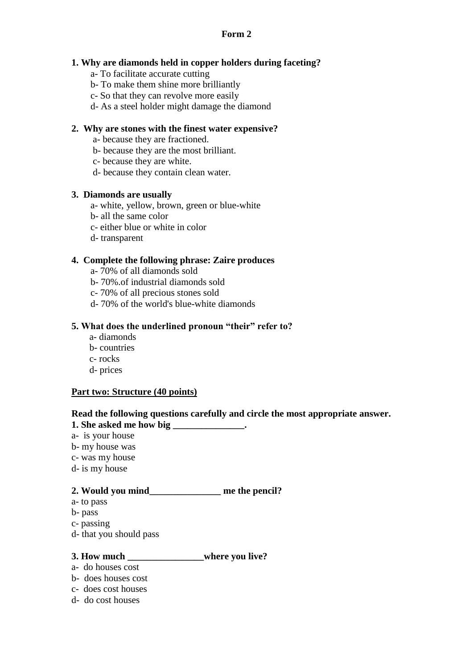# **1. Why are diamonds held in copper holders during faceting?**

- a- To facilitate accurate cutting
- b- To make them shine more brilliantly
- c- So that they can revolve more easily
- d- As a steel holder might damage the diamond

# **2. Why are stones with the finest water expensive?**

- a- because they are fractioned.
- b- because they are the most brilliant.
- c- because they are white.
- d- because they contain clean water.

## **3. Diamonds are usually**

- a- white, yellow, brown, green or blue-white
- b- all the same color
- c- either blue or white in color
- d- transparent

## **4. Complete the following phrase: Zaire produces**

- a- 70% of all diamonds sold
- b- 70%.of industrial diamonds sold
- c- 70% of all precious stones sold
- d- 70% of the world's blue-white diamonds

## **5. What does the underlined pronoun "their" refer to?**

- a- diamonds
- b- countries
- c- rocks
- d- prices

# **Part two: Structure (40 points)**

## **Read the following questions carefully and circle the most appropriate answer.**

- **1. She asked me how big \_\_\_\_\_\_\_\_\_\_\_\_\_\_\_.**
- a- is your house
- b- my house was
- c- was my house
- d- is my house

# **2. Would you mind\_\_\_\_\_\_\_\_\_\_\_\_\_\_\_ me the pencil?**

- a- to pass
- b- pass
- c- passing
- d- that you should pass

#### **3. How much \_\_\_\_\_\_\_\_\_\_\_\_\_\_\_\_where you live?**

- a- do houses cost
- b- does houses cost
- c- does cost houses
- d- do cost houses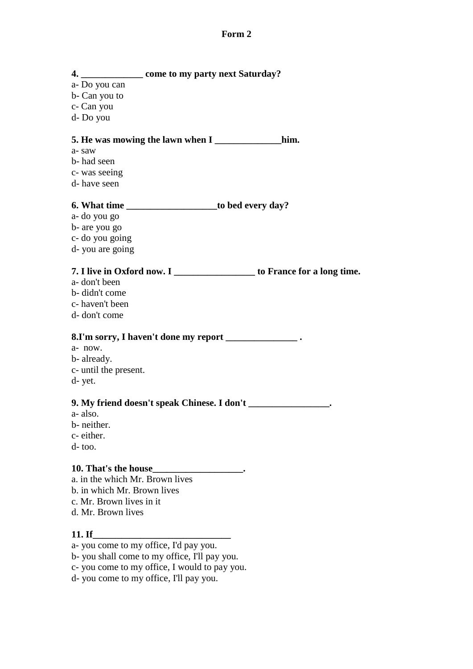**4. \_\_\_\_\_\_\_\_\_\_\_\_\_ come to my party next Saturday?** a- Do you can b- Can you to c- Can you d- Do you **5. He was mowing the lawn when I \_\_\_\_\_\_\_\_\_\_\_\_\_\_him.** a- saw b- had seen c- was seeing d- have seen **6. What time \_\_\_\_\_\_\_\_\_\_\_\_\_\_\_\_\_\_\_to bed every day?** a- do you go b- are you go c- do you going d- you are going **7. I live in Oxford now. I \_\_\_\_\_\_\_\_\_\_\_\_\_\_\_\_\_ to France for a long time.** a- don't been b- didn't come c- haven't been d- don't come **8.I'm sorry, I haven't done my report \_\_\_\_\_\_\_\_\_\_\_\_\_\_\_ .** a- now. b- already. c- until the present. d- yet. **9. My friend doesn't speak Chinese. I don't \_\_\_\_\_\_\_\_\_\_\_\_\_\_\_\_\_.** a- also. b- neither. c- either. d- too. **10. That's the house\_\_\_\_\_\_\_\_\_\_\_\_\_\_\_\_\_\_\_.** a. in the which Mr. Brown lives b. in which Mr. Brown lives c. Mr. Brown lives in it d. Mr. Brown lives **11. If\_\_\_\_\_\_\_\_\_\_\_\_\_\_\_\_\_\_\_\_\_\_\_\_\_\_\_\_\_** a- you come to my office, I'd pay you.

b- you shall come to my office, I'll pay you.

c- you come to my office, I would to pay you.

d- you come to my office, I'll pay you.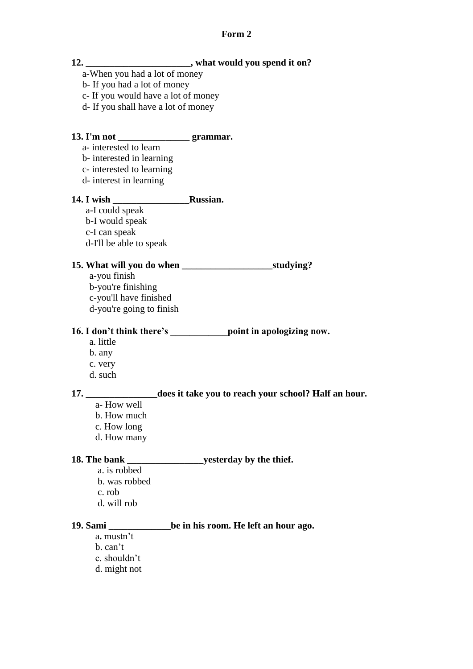|                                          | 12. ___________________________, what would you spend it on?                    |
|------------------------------------------|---------------------------------------------------------------------------------|
| a-When you had a lot of money            |                                                                                 |
| b- If you had a lot of money             |                                                                                 |
| c- If you would have a lot of money      |                                                                                 |
| d- If you shall have a lot of money      |                                                                                 |
|                                          |                                                                                 |
| 13. I'm not ____________________grammar. |                                                                                 |
| a-interested to learn                    |                                                                                 |
| b-interested in learning                 |                                                                                 |
| c- interested to learning                |                                                                                 |
| d- interest in learning                  |                                                                                 |
|                                          |                                                                                 |
| a-I could speak                          |                                                                                 |
| b-I would speak                          |                                                                                 |
| c-I can speak                            |                                                                                 |
| d-I'll be able to speak                  |                                                                                 |
|                                          |                                                                                 |
| a-you finish                             |                                                                                 |
| b-you're finishing                       |                                                                                 |
| c-you'll have finished                   |                                                                                 |
| d-you're going to finish                 |                                                                                 |
|                                          | 16. I don't think there's _________________ point in apologizing now.           |
| a. little                                |                                                                                 |
| b. any                                   |                                                                                 |
| c. very                                  |                                                                                 |
| d. such                                  |                                                                                 |
|                                          | 17. _______________________does it take you to reach your school? Half an hour. |
| a- How well                              |                                                                                 |
| b. How much                              |                                                                                 |
| c. How long                              |                                                                                 |
| d. How many                              |                                                                                 |
| 18. The bank                             | yesterday by the thief.                                                         |
| a. is robbed                             |                                                                                 |
| b. was robbed                            |                                                                                 |
| c. rob                                   |                                                                                 |
| d. will rob                              |                                                                                 |
| 19. Sami                                 | be in his room. He left an hour ago.                                            |
| a. mustn't                               |                                                                                 |
| b. can't                                 |                                                                                 |
| c. shouldn't                             |                                                                                 |
| d. might not                             |                                                                                 |
|                                          |                                                                                 |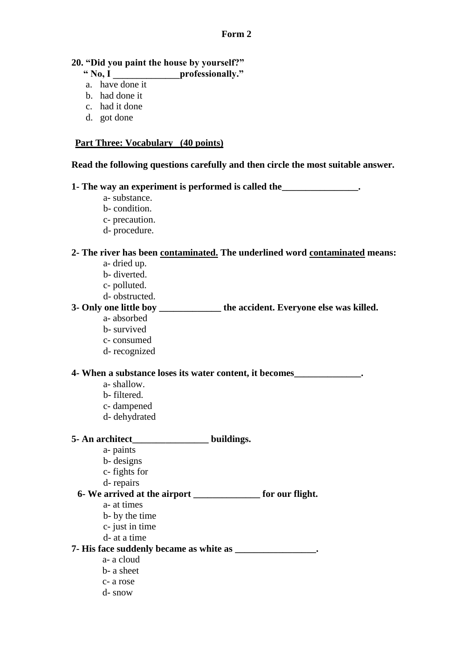### **20. "Did you paint the house by yourself?"**

- **" No, I \_\_\_\_\_\_\_\_\_\_\_\_\_\_professionally."**
- a. have done it
- b. had done it
- c. had it done
- d. got done

# **Part Three: Vocabulary (40 points)**

### **Read the following questions carefully and then circle the most suitable answer.**

**1- The way an experiment is performed is called the\_\_\_\_\_\_\_\_\_\_\_\_\_\_\_\_.**

- a- substance.
- b- condition.
- c- precaution.
- d- procedure.

#### **2- The river has been contaminated. The underlined word contaminated means:**

- a- dried up.
- b- diverted.
- c- polluted.
- d- obstructed.

# **3- Only one little boy \_\_\_\_\_\_\_\_\_\_\_\_\_ the accident. Everyone else was killed.**

- a- absorbed
	- b- survived
	- c- consumed
	- d- recognized

#### **4- When a substance loses its water content, it becomes\_\_\_\_\_\_\_\_\_\_\_\_\_\_.**

- a- shallow.
- b- filtered.
- c- dampened
- d- dehydrated

# **5- An architect\_\_\_\_\_\_\_\_\_\_\_\_\_\_\_\_ buildings.**

- a- paints
- b- designs
- c- fights for
- d- repairs

# **6- We arrived at the airport \_\_\_\_\_\_\_\_\_\_\_\_\_\_ for our flight.**

- a- at times
- b- by the time
- c- just in time
- d- at a time

#### **7- His face suddenly became as white as \_\_\_\_\_\_\_\_\_\_\_\_\_\_\_\_\_.**

- a- a cloud
- b- a sheet
- c- a rose
- d- snow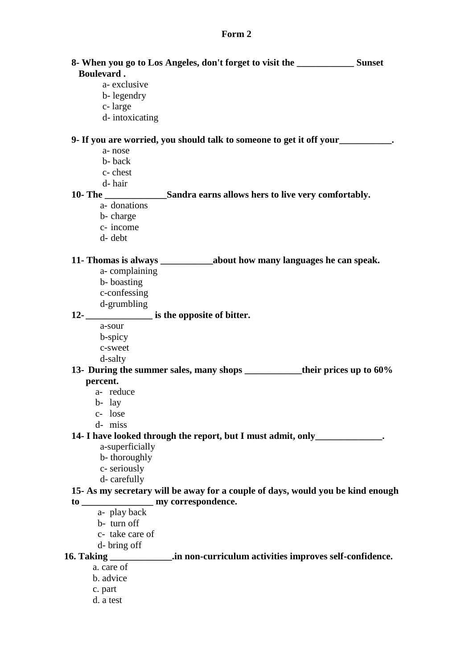| <b>Boulevard.</b> | 8- When you go to Los Angeles, don't forget to visit the ________________________ Sunset |  |
|-------------------|------------------------------------------------------------------------------------------|--|
| a-exclusive       |                                                                                          |  |
| b-legendry        |                                                                                          |  |
| c-large           |                                                                                          |  |
| d-intoxicating    |                                                                                          |  |
|                   | 9- If you are worried, you should talk to someone to get it off your<br>                 |  |
| a-nose            |                                                                                          |  |
| b-back            |                                                                                          |  |
| c-chest           |                                                                                          |  |
| d-hair            |                                                                                          |  |
|                   | 10- The ________________________Sandra earns allows hers to live very comfortably.       |  |
| a-donations       |                                                                                          |  |
| b-charge          |                                                                                          |  |
| c- income         |                                                                                          |  |
| d- debt           |                                                                                          |  |
|                   |                                                                                          |  |
| a-complaining     |                                                                                          |  |
| b-boasting        |                                                                                          |  |
| c-confessing      |                                                                                          |  |
| d-grumbling       |                                                                                          |  |
|                   | 12-<br>is the opposite of bitter.                                                        |  |
| a-sour            |                                                                                          |  |
| b-spicy           |                                                                                          |  |
| c-sweet           |                                                                                          |  |
| d-salty           |                                                                                          |  |
| percent.          | 13- During the summer sales, many shops ____________their prices up to 60%               |  |
| a- reduce         |                                                                                          |  |
| $b-$ lay          |                                                                                          |  |
| c- lose           |                                                                                          |  |
| d- miss           |                                                                                          |  |
|                   | 14- I have looked through the report, but I must admit, only                             |  |
| a-superficially   |                                                                                          |  |
| b-thoroughly      |                                                                                          |  |
| c-seriously       |                                                                                          |  |
| d-carefully       |                                                                                          |  |
|                   | 15- As my secretary will be away for a couple of days, would you be kind enough          |  |
|                   |                                                                                          |  |
| a- play back      |                                                                                          |  |
| b-turn off        |                                                                                          |  |
| c- take care of   |                                                                                          |  |
| d-bring off       |                                                                                          |  |
|                   | .in non-curriculum activities improves self-confidence.                                  |  |
| a. care of        |                                                                                          |  |
| b. advice         |                                                                                          |  |
| c. part           |                                                                                          |  |
| d. a test         |                                                                                          |  |
|                   |                                                                                          |  |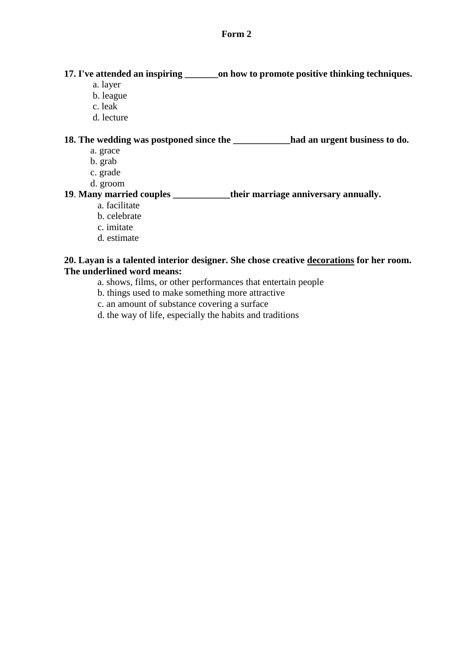### **17. I've attended an inspiring \_\_\_\_\_\_\_on how to promote positive thinking techniques.**

- a. layer
- b. league
- c. leak
- d. lecture

**18. The wedding was postponed since the \_\_\_\_\_\_\_\_\_\_\_\_had an urgent business to do.** 

- a. grace
- b. grab
- c. grade
- d. groom

# **19**. **Many married couples \_\_\_\_\_\_\_\_\_\_\_\_their marriage anniversary annually.**

- a. facilitate
- b. celebrate
- c. imitate
- d. estimate

### **20. Layan is a talented interior designer. She chose creative decorations for her room. The underlined word means:**

- a. shows, films, or other performances that entertain people
- b. things used to make something more attractive
- c. an amount of substance covering a surface
- d. the way of life, especially the habits and traditions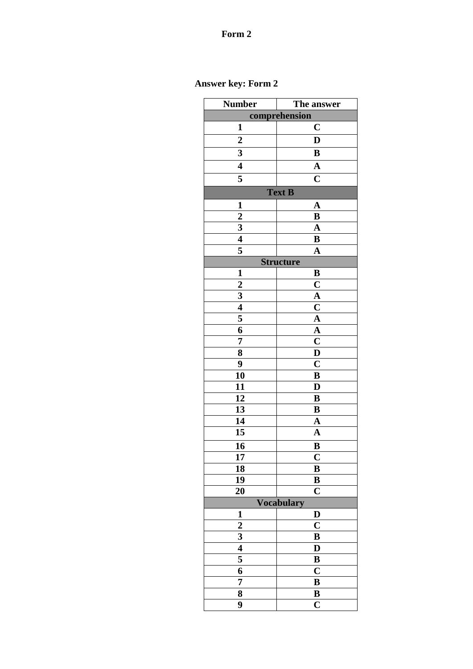# **Answer key: Form 2**

| Number                  | The answer                   |  |  |  |
|-------------------------|------------------------------|--|--|--|
| comprehension           |                              |  |  |  |
| 1                       | $\mathbf C$                  |  |  |  |
| $\overline{2}$          | D                            |  |  |  |
| $\overline{\mathbf{3}}$ | B                            |  |  |  |
| 4                       | $\mathbf A$                  |  |  |  |
| 5                       | $\mathbf C$                  |  |  |  |
|                         | <b>Text B</b>                |  |  |  |
| $\mathbf{1}$            | $\mathbf A$                  |  |  |  |
|                         | B                            |  |  |  |
| $\frac{2}{3}$           | $\overline{\mathbf{A}}$      |  |  |  |
| $\overline{\bf{4}}$     | B                            |  |  |  |
| 5                       | $\mathbf A$                  |  |  |  |
| <b>Structure</b>        |                              |  |  |  |
| $\mathbf{1}$            | B                            |  |  |  |
| $\boldsymbol{2}$        | $\mathbf C$                  |  |  |  |
| $\overline{\mathbf{3}}$ | $\mathbf A$                  |  |  |  |
| $\overline{\bf{4}}$     | $\mathbf C$                  |  |  |  |
| 5                       | $\mathbf A$                  |  |  |  |
| $\overline{6}$          | $\overline{\mathbf{A}}$      |  |  |  |
| 7                       | $\mathbf C$                  |  |  |  |
| $\overline{\mathbf{8}}$ | D                            |  |  |  |
| 9                       | $\overline{\textbf{C}}$      |  |  |  |
| 10                      | B                            |  |  |  |
| 11                      | D                            |  |  |  |
| 12                      | B                            |  |  |  |
| 13                      | B                            |  |  |  |
| 14                      | A                            |  |  |  |
| 15                      | $\overline{\mathbf{A}}$      |  |  |  |
| 16                      | B                            |  |  |  |
| 17                      | $\overline{\mathbf{C}}$      |  |  |  |
| 18                      | B                            |  |  |  |
| 19                      | B                            |  |  |  |
| 20                      | $\overline{C}$               |  |  |  |
|                         | <b>Vocabulary</b>            |  |  |  |
| $\mathbf{1}$            | D                            |  |  |  |
| $\overline{\mathbf{c}}$ | $\overline{\mathbf{C}}$      |  |  |  |
| 3                       | B                            |  |  |  |
| $\overline{4}$          | D                            |  |  |  |
| 5                       | B                            |  |  |  |
| 6                       | $\mathbf C$                  |  |  |  |
| 7                       | $\bf{B}$                     |  |  |  |
| 8<br>9                  | B<br>$\overline{\mathbf{C}}$ |  |  |  |
|                         |                              |  |  |  |